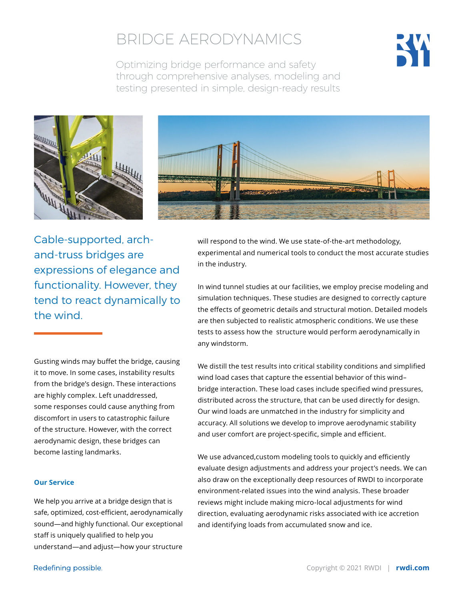

Optimizing bridge performance and safety through comprehensive analyses, modeling and testing presented in simple, design-ready results





Cable-supported, archand-truss bridges are expressions of elegance and functionality. However, they tend to react dynamically to the wind.

Gusting winds may buffet the bridge, causing it to move. In some cases, instability results from the bridge's design. These interactions are highly complex. Left unaddressed, some responses could cause anything from discomfort in users to catastrophic failure of the structure. However, with the correct aerodynamic design, these bridges can become lasting landmarks.

### **Our Service**

We help you arrive at a bridge design that is safe, optimized, cost-efficient, aerodynamically sound—and highly functional. Our exceptional staff is uniquely qualified to help you understand—and adjust—how your structure will respond to the wind. We use state-of-the-art methodology, experimental and numerical tools to conduct the most accurate studies in the industry.

In wind tunnel studies at our facilities, we employ precise modeling and simulation techniques. These studies are designed to correctly capture the effects of geometric details and structural motion. Detailed models are then subjected to realistic atmospheric conditions. We use these tests to assess how the structure would perform aerodynamically in any windstorm.

We distill the test results into critical stability conditions and simplified wind load cases that capture the essential behavior of this wind– bridge interaction. These load cases include specified wind pressures, distributed across the structure, that can be used directly for design. Our wind loads are unmatched in the industry for simplicity and accuracy. All solutions we develop to improve aerodynamic stability and user comfort are project-specific, simple and efficient.

We use advanced,custom modeling tools to quickly and efficiently evaluate design adjustments and address your project's needs. We can also draw on the exceptionally deep resources of RWDI to incorporate environment-related issues into the wind analysis. These broader reviews might include making micro-local adjustments for wind direction, evaluating aerodynamic risks associated with ice accretion and identifying loads from accumulated snow and ice.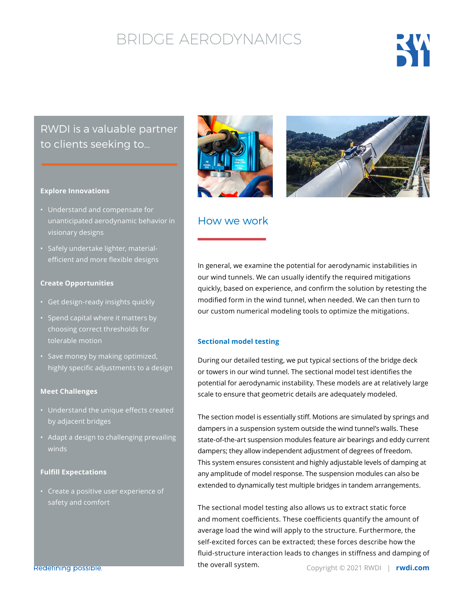

## RWDI is a valuable partner to clients seeking to…

### **Explore Innovations**

- Understand and compensate for unanticipated aerodynamic behavior in visionary designs
- Safely undertake lighter, materialefficient and more flexible designs

### **Create Opportunities**

- Get design-ready insights quickly
- Spend capital where it matters by choosing correct thresholds for tolerable motion
- Save money by making optimized, highly specific adjustments to a design

## **Meet Challenges**

- Understand the unique effects created by adjacent bridges
- Adapt a design to challenging prevailing winds

## **Fulfill Expectations**

• Create a positive user experience of safety and comfort





## How we work

In general, we examine the potential for aerodynamic instabilities in our wind tunnels. We can usually identify the required mitigations quickly, based on experience, and confirm the solution by retesting the modified form in the wind tunnel, when needed. We can then turn to our custom numerical modeling tools to optimize the mitigations.

#### **Sectional model testing**

During our detailed testing, we put typical sections of the bridge deck or towers in our wind tunnel. The sectional model test identifies the potential for aerodynamic instability. These models are at relatively large scale to ensure that geometric details are adequately modeled.

The section model is essentially stiff. Motions are simulated by springs and dampers in a suspension system outside the wind tunnel's walls. These state-of-the-art suspension modules feature air bearings and eddy current dampers; they allow independent adjustment of degrees of freedom. This system ensures consistent and highly adjustable levels of damping at any amplitude of model response. The suspension modules can also be extended to dynamically test multiple bridges in tandem arrangements.

The sectional model testing also allows us to extract static force and moment coefficients. These coefficients quantify the amount of average load the wind will apply to the structure. Furthermore, the self-excited forces can be extracted; these forces describe how the fluid-structure interaction leads to changes in stiffness and damping of the overall system.

Redefining possible.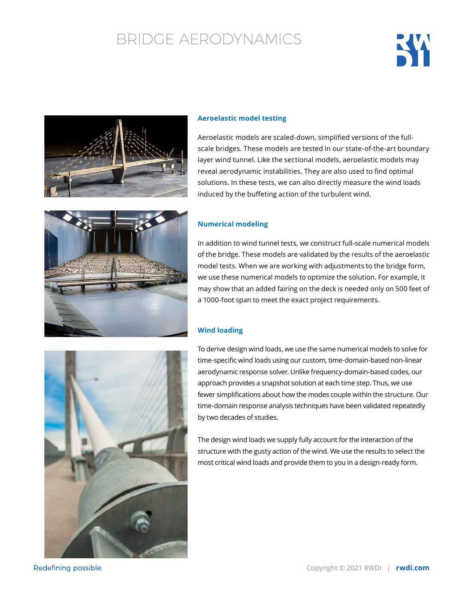



## **Aeroelastic model testing**

Aeroelastic models are scaled-down, simplified versions of the fullscale bridges. These models are tested in our state-of-the-art boundary layer wind tunnel. Like the sectional models, aeroelastic models may reveal aerodynamic instabilities. They are also used to find optimal solutions. In these tests, we can also directly measure the wind loads induced by the buffeting action of the turbulent wind.



## **Numerical modeling**

In addition to wind tunnel tests, we construct full-scale numerical models of the bridge. These models are validated by the results of the aeroelastic model tests. When we are working with adjustments to the bridge form, we use these numerical models to optimize the solution. For example, it may show that an added fairing on the deck is needed only on 500 feet of a 1000-foot span to meet the exact project requirements.

### **Wind loading**

To derive design wind loads, we use the same numerical models to solve for time-specific wind loads using our custom, time-domain-based non-linear aerodynamic response solver. Unlike frequency-domain-based codes, our approach provides a snapshot solution at each time step. Thus, we use fewer simplifications about how the modes couple within the structure. Our time-domain response analysis techniques have been validated repeatedly by two decades of studies.

The design wind loads we supply fully account for the interaction of the structure with the gusty action of the wind. We use the results to select the most critical wind loads and provide them to you in a design-ready form.



Redefining possible.